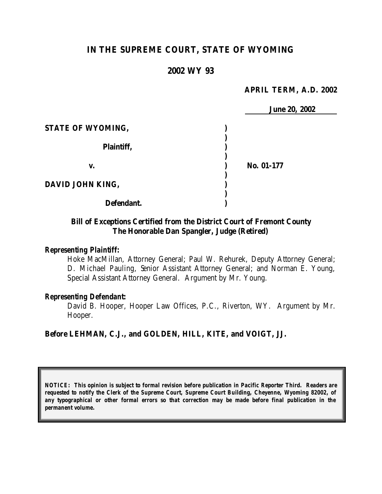# **IN THE SUPREME COURT, STATE OF WYOMING**

# **2002 WY 93**

#### **APRIL TERM, A.D. 2002**

|                   | <b>June 20, 2002</b> |  |
|-------------------|----------------------|--|
| STATE OF WYOMING, |                      |  |
| Plaintiff,        |                      |  |
| v.                | No. 01-177           |  |
| DAVID JOHN KING,  |                      |  |
| Defendant.        |                      |  |

# **Bill of Exceptions Certified from the District Court of Fremont County The Honorable Dan Spangler, Judge (Retired)**

# *Representing Plaintiff:*

Hoke MacMillan, Attorney General; Paul W. Rehurek, Deputy Attorney General; D. Michael Pauling, Senior Assistant Attorney General; and Norman E. Young, Special Assistant Attorney General. Argument by Mr. Young.

#### *Representing Defendant:*

David B. Hooper, Hooper Law Offices, P.C., Riverton, WY. Argument by Mr. Hooper.

#### **Before LEHMAN, C.J., and GOLDEN, HILL, KITE, and VOIGT, JJ.**

*NOTICE: This opinion is subject to formal revision before publication in Pacific Reporter Third. Readers are requested to notify the Clerk of the Supreme Court, Supreme Court Building, Cheyenne, Wyoming 82002, of any typographical or other formal errors so that correction may be made before final publication in the permanent volume.*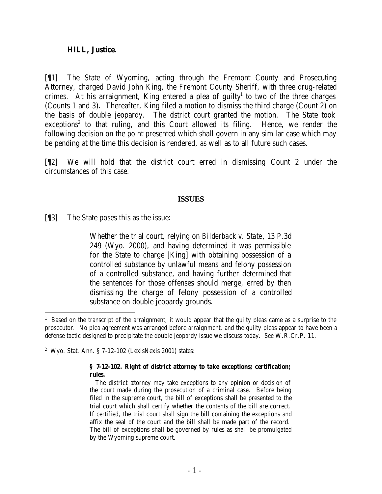### **HILL, Justice.**

[¶1] The State of Wyoming, acting through the Fremont County and Prosecuting Attorney, charged David John King, the Fremont County Sheriff, with three drug-related crimes. At his arraignment, King entered a plea of guilty<sup>1</sup> to two of the three charges (Counts 1 and 3). Thereafter, King filed a motion to dismiss the third charge (Count 2) on the basis of double jeopardy. The district court granted the motion. The State took exceptions<sup>2</sup> to that ruling, and this Court allowed its filing. Hence, we render the following decision on the point presented which shall govern in any similar case which may be pending at the time this decision is rendered, as well as to all future such cases.

[¶2] We will hold that the district court erred in dismissing Count 2 under the circumstances of this case.

### **ISSUES**

[¶3] The State poses this as the issue:

Whether the trial court, relying on *Bilderback v. State*, 13 P.3d 249 (Wyo. 2000), and having determined it was permissible for the State to charge [King] with obtaining possession of a controlled substance by unlawful means and felony possession of a controlled substance, and having further determined that the sentences for those offenses should merge, erred by then dismissing the charge of felony possession of a controlled substance on double jeopardy grounds.

#### **§ 7-12-102. Right of district attorney to take exceptions; certification; rules.**

 The district attorney may take exceptions to any opinion or decision of the court made during the prosecution of a criminal case. Before being filed in the supreme court, the bill of exceptions shall be presented to the trial court which shall certify whether the contents of the bill are correct. If certified, the trial court shall sign the bill containing the exceptions and affix the seal of the court and the bill shall be made part of the record. The bill of exceptions shall be governed by rules as shall be promulgated by the Wyoming supreme court.

<sup>&</sup>lt;sup>1</sup> Based on the transcript of the arraignment, it would appear that the guilty pleas came as a surprise to the prosecutor. No plea agreement was arranged before arraignment, and the guilty pleas appear to have been a defense tactic designed to precipitate the double jeopardy issue we discuss today. *See* W.R.Cr.P. 11.

<sup>2</sup> Wyo. Stat. Ann. § 7-12-102 (LexisNexis 2001) states: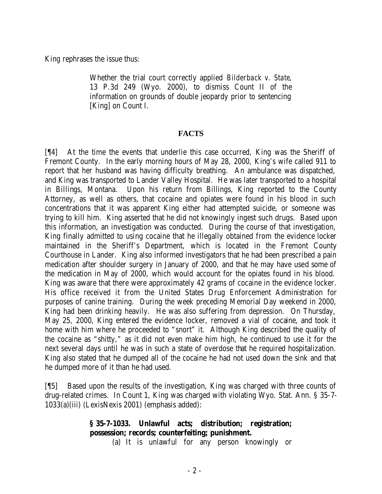King rephrases the issue thus:

Whether the trial court correctly applied *Bilderback v. State*, 13 P.3d 249 (Wyo. 2000), to dismiss Count II of the information on grounds of double jeopardy prior to sentencing [King] on Count I.

# **FACTS**

[¶4] At the time the events that underlie this case occurred, King was the Sheriff of Fremont County. In the early morning hours of May 28, 2000, King's wife called 911 to report that her husband was having difficulty breathing. An ambulance was dispatched, and King was transported to Lander Valley Hospital. He was later transported to a hospital in Billings, Montana. Upon his return from Billings, King reported to the County Attorney, as well as others, that cocaine and opiates were found in his blood in such concentrations that it was apparent King either had attempted suicide, or someone was trying to kill him. King asserted that he did not knowingly ingest such drugs. Based upon this information, an investigation was conducted. During the course of that investigation, King finally admitted to using cocaine that he illegally obtained from the evidence locker maintained in the Sheriff's Department, which is located in the Fremont County Courthouse in Lander. King also informed investigators that he had been prescribed a pain medication after shoulder surgery in January of 2000, and that he may have used some of the medication in May of 2000, which would account for the opiates found in his blood. King was aware that there were approximately 42 grams of cocaine in the evidence locker. His office received it from the United States Drug Enforcement Administration for purposes of canine training. During the week preceding Memorial Day weekend in 2000, King had been drinking heavily. He was also suffering from depression. On Thursday, May 25, 2000, King entered the evidence locker, removed a vial of cocaine, and took it home with him where he proceeded to "snort" it. Although King described the quality of the cocaine as "shitty," as it did not even make him high, he continued to use it for the next several days until he was in such a state of overdose that he required hospitalization. King also stated that he dumped all of the cocaine he had not used down the sink and that he dumped more of it than he had used.

[¶5] Based upon the results of the investigation, King was charged with three counts of drug-related crimes. In Count 1, King was charged with violating Wyo. Stat. Ann. § 35-7- 1033(a)(iii) (LexisNexis 2001) (emphasis added):

# **§ 35-7-1033. Unlawful acts; distribution; registration; possession; records; counterfeiting; punishment.**

(a) It is unlawful for any person knowingly or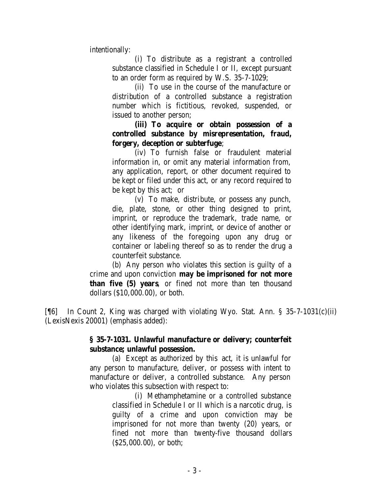intentionally:

(i) To distribute as a registrant a controlled substance classified in Schedule I or II, except pursuant to an order form as required by W.S. 35-7-1029;

(ii) To use in the course of the manufacture or distribution of a controlled substance a registration number which is fictitious, revoked, suspended, or issued to another person;

**(iii) To acquire or obtain possession of a controlled substance by misrepresentation, fraud, forgery, deception or subterfuge**;

(iv) To furnish false or fraudulent material information in, or omit any material information from, any application, report, or other document required to be kept or filed under this act, or any record required to be kept by this act; or

(v) To make, distribute, or possess any punch, die, plate, stone, or other thing designed to print, imprint, or reproduce the trademark, trade name, or other identifying mark, imprint, or device of another or any likeness of the foregoing upon any drug or container or labeling thereof so as to render the drug a counterfeit substance.

(b) Any person who violates this section is guilty of a crime and upon conviction **may be imprisoned for not more than five (5) years**, or fined not more than ten thousand dollars (\$10,000.00), or both.

[¶6] In Count 2, King was charged with violating Wyo. Stat. Ann. § 35-7-1031(c)(ii) (LexisNexis 20001) (emphasis added):

# **§ 35-7-1031. Unlawful manufacture or delivery; counterfeit substance; unlawful possession.**

(a) Except as authorized by this act, it is unlawful for any person to manufacture, deliver, or possess with intent to manufacture or deliver, a controlled substance. Any person who violates this subsection with respect to:

> (i) Methamphetamine or a controlled substance classified in Schedule I or II which is a narcotic drug, is guilty of a crime and upon conviction may be imprisoned for not more than twenty (20) years, or fined not more than twenty-five thousand dollars (\$25,000.00), or both;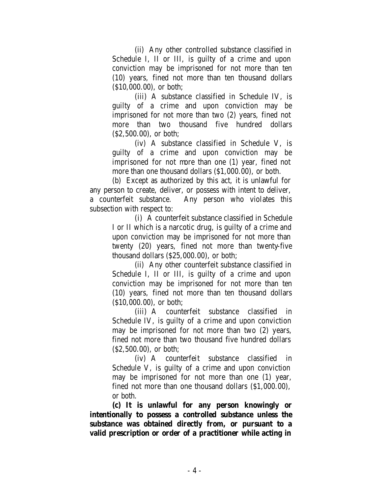(ii) Any other controlled substance classified in Schedule I, II or III, is guilty of a crime and upon conviction may be imprisoned for not more than ten (10) years, fined not more than ten thousand dollars (\$10,000.00), or both;

(iii) A substance classified in Schedule IV, is guilty of a crime and upon conviction may be imprisoned for not more than two (2) years, fined not more than two thousand five hundred dollars (\$2,500.00), or both;

(iv) A substance classified in Schedule V, is guilty of a crime and upon conviction may be imprisoned for not more than one (1) year, fined not more than one thousand dollars (\$1,000.00), or both.

(b) Except as authorized by this act, it is unlawful for any person to create, deliver, or possess with intent to deliver, a counterfeit substance. Any person who violates this subsection with respect to:

> (i) A counterfeit substance classified in Schedule I or II which is a narcotic drug, is guilty of a crime and upon conviction may be imprisoned for not more than twenty (20) years, fined not more than twenty-five thousand dollars (\$25,000.00), or both;

> (ii) Any other counterfeit substance classified in Schedule I, II or III, is guilty of a crime and upon conviction may be imprisoned for not more than ten (10) years, fined not more than ten thousand dollars (\$10,000.00), or both;

> (iii) A counterfeit substance classified in Schedule IV, is guilty of a crime and upon conviction may be imprisoned for not more than two (2) years, fined not more than two thousand five hundred dollars (\$2,500.00), or both;

> (iv) A counterfeit substance classified in Schedule V, is guilty of a crime and upon conviction may be imprisoned for not more than one (1) year, fined not more than one thousand dollars (\$1,000.00), or both.

**(c) It is unlawful for any person knowingly or intentionally to possess a controlled substance unless the substance was obtained directly from, or pursuant to a valid prescription or order of a practitioner while acting in**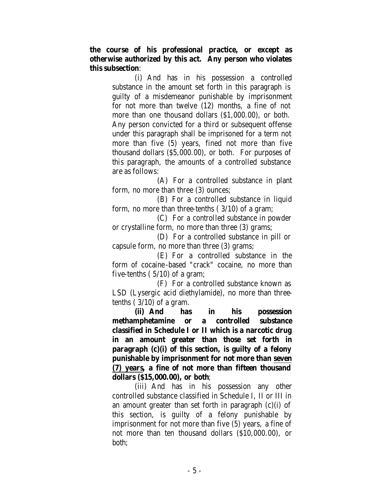**the course of his professional practice, or except as otherwise authorized by this act. Any person who violates this subsection**:

> (i) And has in his possession a controlled substance in the amount set forth in this paragraph is guilty of a misdemeanor punishable by imprisonment for not more than twelve (12) months, a fine of not more than one thousand dollars (\$1,000.00), or both. Any person convicted for a third or subsequent offense under this paragraph shall be imprisoned for a term not more than five (5) years, fined not more than five thousand dollars (\$5,000.00), or both. For purposes of this paragraph, the amounts of a controlled substance are as follows:

> (A) For a controlled substance in plant form, no more than three (3) ounces;

> (B) For a controlled substance in liquid form, no more than three-tenths ( 3/10) of a gram;

> (C) For a controlled substance in powder or crystalline form, no more than three (3) grams;

> (D) For a controlled substance in pill or capsule form, no more than three (3) grams;

(E) For a controlled substance in the form of cocaine-based "crack" cocaine, no more than five-tenths  $(5/10)$  of a gram;

(F) For a controlled substance known as LSD (Lysergic acid diethylamide), no more than threetenths  $(3/10)$  of a gram.

**(ii) And has in his possession methamphetamine or a controlled substance classified in Schedule I or II which is a narcotic drug in an amount greater than those set forth in paragraph (c)(i) of this section, is guilty of a felony punishable by imprisonment for not more than seven (7) years, a fine of not more than fifteen thousand dollars (\$15,000.00), or both**;

(iii) And has in his possession any other controlled substance classified in Schedule I, II or III in an amount greater than set forth in paragraph  $(c)(i)$  of this section, is guilty of a felony punishable by imprisonment for not more than five (5) years, a fine of not more than ten thousand dollars (\$10,000.00), or both;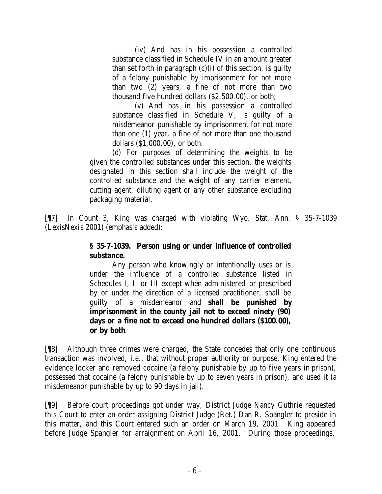(iv) And has in his possession a controlled substance classified in Schedule IV in an amount greater than set forth in paragraph  $(c)(i)$  of this section, is guilty of a felony punishable by imprisonment for not more than two (2) years, a fine of not more than two thousand five hundred dollars (\$2,500.00), or both;

(v) And has in his possession a controlled substance classified in Schedule V, is guilty of a misdemeanor punishable by imprisonment for not more than one (1) year, a fine of not more than one thousand dollars (\$1,000.00), or both.

(d) For purposes of determining the weights to be given the controlled substances under this section, the weights designated in this section shall include the weight of the controlled substance and the weight of any carrier element, cutting agent, diluting agent or any other substance excluding packaging material.

[¶7] In Count 3, King was charged with violating Wyo. Stat. Ann. § 35-7-1039 (LexisNexis 2001) (emphasis added):

# **§ 35-7-1039. Person using or under influence of controlled substance.**

Any person who knowingly or intentionally uses or is under the influence of a controlled substance listed in Schedules I, II or III except when administered or prescribed by or under the direction of a licensed practitioner, shall be guilty of a misdemeanor and **shall be punished by imprisonment in the county jail not to exceed ninety (90) days or a fine not to exceed one hundred dollars (\$100.00), or by both**.

[¶8] Although three crimes were charged, the State concedes that only one continuous transaction was involved, *i.e.*, that without proper authority or purpose, King entered the evidence locker and removed cocaine (a felony punishable by up to five years in prison), possessed that cocaine (a felony punishable by up to seven years in prison), and used it (a misdemeanor punishable by up to 90 days in jail).

[¶9] Before court proceedings got under way, District Judge Nancy Guthrie requested this Court to enter an order assigning District Judge (Ret.) Dan R. Spangler to preside in this matter, and this Court entered such an order on March 19, 2001. King appeared before Judge Spangler for arraignment on April 16, 2001. During those proceedings,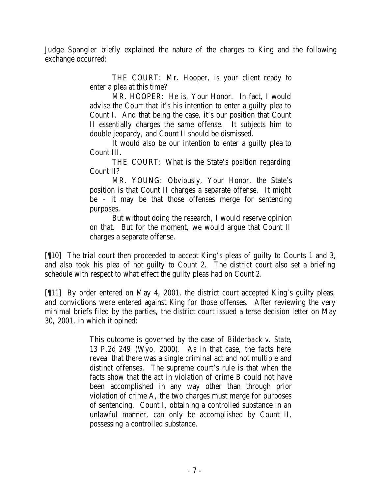Judge Spangler briefly explained the nature of the charges to King and the following exchange occurred:

> THE COURT: Mr. Hooper, is your client ready to enter a plea at this time?

> MR. HOOPER: He is, Your Honor. In fact, I would advise the Court that it's his intention to enter a guilty plea to Count I. And that being the case, it's our position that Count II essentially charges the same offense. It subjects him to double jeopardy, and Count II should be dismissed.

> It would also be our intention to enter a guilty plea to Count III.

> THE COURT: What is the State's position regarding Count II?

> MR. YOUNG: Obviously, Your Honor, the State's position is that Count II charges a separate offense. It might be – it may be that those offenses merge for sentencing purposes.

> But without doing the research, I would reserve opinion on that. But for the moment, we would argue that Count II charges a separate offense.

[¶10] The trial court then proceeded to accept King's pleas of guilty to Counts 1 and 3, and also took his plea of not guilty to Count 2. The district court also set a briefing schedule with respect to what effect the guilty pleas had on Count 2.

[¶11] By order entered on May 4, 2001, the district court accepted King's guilty pleas, and convictions were entered against King for those offenses. After reviewing the very minimal briefs filed by the parties, the district court issued a terse decision letter on May 30, 2001, in which it opined:

> This outcome is governed by the case of *Bilderback v. State*, 13 P.2d 249 (Wyo. 2000). As in that case, the facts here reveal that there was a single criminal act and not multiple and distinct offenses. The supreme court's rule is that when the facts show that the act in violation of crime B could not have been accomplished in any way other than through prior violation of crime A, the two charges must merge for purposes of sentencing. Count I, obtaining a controlled substance in an unlawful manner, can only be accomplished by Count II, possessing a controlled substance.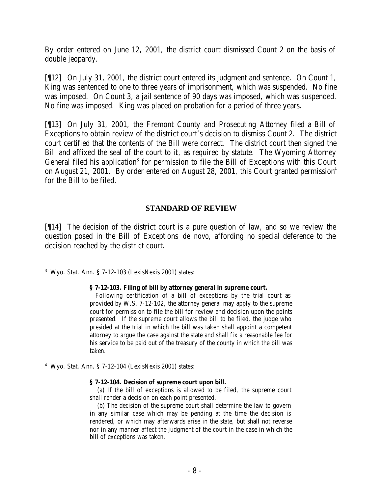By order entered on June 12, 2001, the district court dismissed Count 2 on the basis of double jeopardy.

[¶12] On July 31, 2001, the district court entered its judgment and sentence. On Count 1, King was sentenced to one to three years of imprisonment, which was suspended. No fine was imposed. On Count 3, a jail sentence of 90 days was imposed, which was suspended. No fine was imposed. King was placed on probation for a period of three years.

[¶13] On July 31, 2001, the Fremont County and Prosecuting Attorney filed a Bill of Exceptions to obtain review of the district court's decision to dismiss Count 2. The district court certified that the contents of the Bill were correct. The district court then signed the Bill and affixed the seal of the court to it, as required by statute. The Wyoming Attorney General filed his application<sup>3</sup> for permission to file the Bill of Exceptions with this Court on August 21, 2001. By order entered on August 28, 2001, this Court granted permission<sup>4</sup> for the Bill to be filed.

### **STANDARD OF REVIEW**

[¶14] The decision of the district court is a pure question of law, and so we review the question posed in the Bill of Exceptions *de novo*, affording no special deference to the decision reached by the district court.

#### **§ 7-12-103. Filing of bill by attorney general in supreme court.**

 Following certification of a bill of exceptions by the trial court as provided by W.S. 7-12-102, the attorney general may apply to the supreme court for permission to file the bill for review and decision upon the points presented. If the supreme court allows the bill to be filed, the judge who presided at the trial in which the bill was taken shall appoint a competent attorney to argue the case against the state and shall fix a reasonable fee for his service to be paid out of the treasury of the county in which the bill was taken.

4 Wyo. Stat. Ann. § 7-12-104 (LexisNexis 2001) states:

#### **§ 7-12-104. Decision of supreme court upon bill.**

 (a) If the bill of exceptions is allowed to be filed, the supreme court shall render a decision on each point presented.

 (b) The decision of the supreme court shall determine the law to govern in any similar case which may be pending at the time the decision is rendered, or which may afterwards arise in the state, but shall not reverse nor in any manner affect the judgment of the court in the case in which the bill of exceptions was taken.

 3 Wyo. Stat. Ann. § 7-12-103 (LexisNexis 2001) states: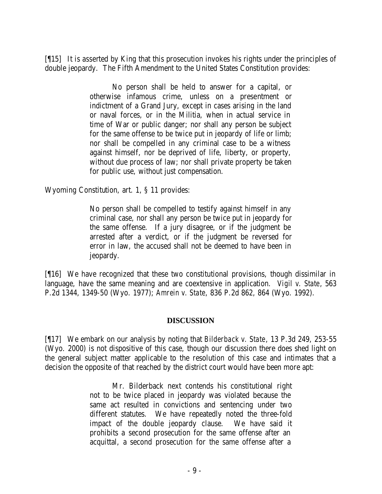[¶15] It is asserted by King that this prosecution invokes his rights under the principles of double jeopardy. The Fifth Amendment to the United States Constitution provides:

> No person shall be held to answer for a capital, or otherwise infamous crime, unless on a presentment or indictment of a Grand Jury, except in cases arising in the land or naval forces, or in the Militia, when in actual service in time of War or public danger; nor shall any person be subject for the same offense to be twice put in jeopardy of life or limb; nor shall be compelled in any criminal case to be a witness against himself, nor be deprived of life, liberty, or property, without due process of law; nor shall private property be taken for public use, without just compensation.

Wyoming Constitution, art. 1, § 11 provides:

No person shall be compelled to testify against himself in any criminal case, nor shall any person be twice put in jeopardy for the same offense. If a jury disagree, or if the judgment be arrested after a verdict, or if the judgment be reversed for error in law, the accused shall not be deemed to have been in jeopardy.

[¶16] We have recognized that these two constitutional provisions, though dissimilar in language, have the same meaning and are coextensive in application. *Vigil v. State*, 563 P.2d 1344, 1349-50 (Wyo. 1977); *Amrein v. State*, 836 P.2d 862, 864 (Wyo. 1992).

### **DISCUSSION**

[¶17] We embark on our analysis by noting that *Bilderback v. State*, 13 P.3d 249, 253-55 (Wyo. 2000) is not dispositive of this case, though our discussion there does shed light on the general subject matter applicable to the resolution of this case and intimates that a decision the opposite of that reached by the district court would have been more apt:

> Mr. Bilderback next contends his constitutional right not to be twice placed in jeopardy was violated because the same act resulted in convictions and sentencing under two different statutes. We have repeatedly noted the three-fold impact of the double jeopardy clause. We have said it prohibits a second prosecution for the same offense after an acquittal, a second prosecution for the same offense after a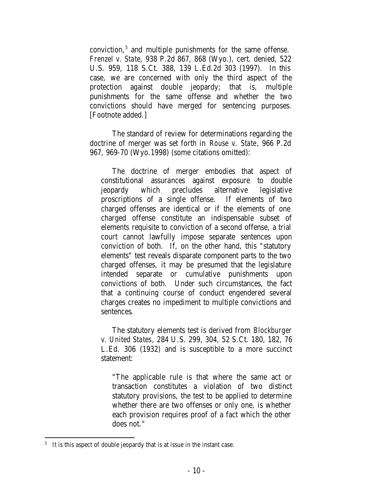conviction,<sup>5</sup> and multiple punishments for the same offense. *Frenzel v. State*, 938 P.2d 867, 868 (Wyo.), cert. denied, 522 U.S. 959, 118 S.Ct. 388, 139 L.Ed.2d 303 (1997). In this case, we are concerned with only the third aspect of the protection against double jeopardy; that is, multiple punishments for the same offense and whether the two convictions should have merged for sentencing purposes. [Footnote added.]

The standard of review for determinations regarding the doctrine of merger was set forth in *Rouse v. State*, 966 P.2d 967, 969-70 (Wyo.1998) (some citations omitted):

The doctrine of merger embodies that aspect of constitutional assurances against exposure to double jeopardy which precludes alternative legislative proscriptions of a single offense. If elements of two charged offenses are identical or if the elements of one charged offense constitute an indispensable subset of elements requisite to conviction of a second offense, a trial court cannot lawfully impose separate sentences upon conviction of both. If, on the other hand, this "statutory elements" test reveals disparate component parts to the two charged offenses, it may be presumed that the legislature intended separate or cumulative punishments upon convictions of both. Under such circumstances, the fact that a continuing course of conduct engendered several charges creates no impediment to multiple convictions and sentences.

The statutory elements test is derived from *Blockburger v. United States*, 284 U.S. 299, 304, 52 S.Ct. 180, 182, 76 L.Ed. 306 (1932) and is susceptible to a more succinct statement:

"The applicable rule is that where the same act or transaction constitutes a violation of two distinct statutory provisions, the test to be applied to determine whether there are two offenses or only one, is whether each provision requires proof of a fact which the other does not."

<sup>&</sup>lt;sup>5</sup> It is this aspect of double jeopardy that is at issue in the instant case.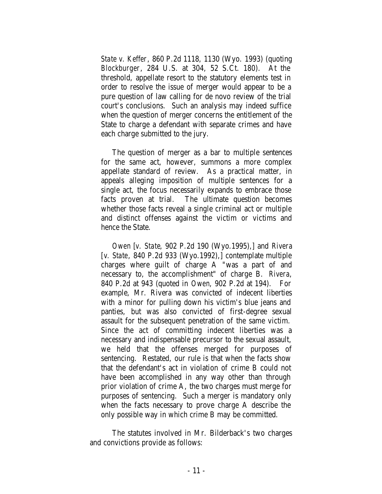*State v. Keffer*, 860 P.2d 1118, 1130 (Wyo. 1993) (quoting *Blockburger*, 284 U.S. at 304, 52 S.Ct. 180). At the threshold, appellate resort to the statutory elements test in order to resolve the issue of merger would appear to be a pure question of law calling for de novo review of the trial court's conclusions. Such an analysis may indeed suffice when the question of merger concerns the entitlement of the State to charge a defendant with separate crimes and have each charge submitted to the jury.

The question of merger as a bar to multiple sentences for the same act, however, summons a more complex appellate standard of review. As a practical matter, in appeals alleging imposition of multiple sentences for a single act, the focus necessarily expands to embrace those facts proven at trial. The ultimate question becomes whether those facts reveal a single criminal act or multiple and distinct offenses against the victim or victims and hence the State.

*Owen* [*v. State*, 902 P.2d 190 (Wyo.1995),] and *Rivera* [*v. State*, 840 P.2d 933 (Wyo.1992),] contemplate multiple charges where guilt of charge A "was a part of and necessary to, the accomplishment" of charge B. *Rivera*, 840 P.2d at 943 (quoted in *Owen*, 902 P.2d at 194). For example, Mr. Rivera was convicted of indecent liberties with a minor for pulling down his victim's blue jeans and panties, but was also convicted of first-degree sexual assault for the subsequent penetration of the same victim. Since the act of committing indecent liberties was a necessary and indispensable precursor to the sexual assault, we held that the offenses merged for purposes of sentencing. Restated, our rule is that when the facts show that the defendant's act in violation of crime B could not have been accomplished in any way other than through prior violation of crime A, the two charges must merge for purposes of sentencing. Such a merger is mandatory only when the facts necessary to prove charge A describe the only possible way in which crime B may be committed.

The statutes involved in Mr. Bilderback's two charges and convictions provide as follows: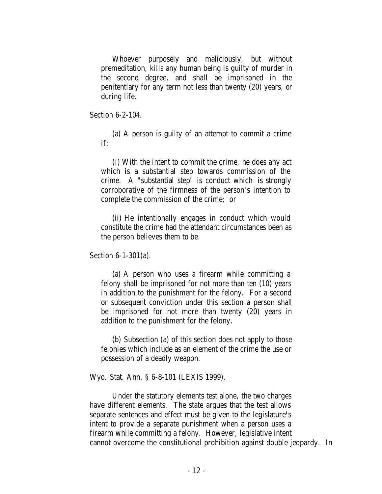Whoever purposely and maliciously, but without premeditation, kills any human being is guilty of murder in the second degree, and shall be imprisoned in the penitentiary for any term not less than twenty (20) years, or during life.

Section 6-2-104.

(a) A person is guilty of an attempt to commit a crime if:

(i) With the intent to commit the crime, he does any act which is a substantial step towards commission of the crime. A "substantial step" is conduct which is strongly corroborative of the firmness of the person's intention to complete the commission of the crime; or

(ii) He intentionally engages in conduct which would constitute the crime had the attendant circumstances been as the person believes them to be.

Section 6-1-301(a).

(a) A person who uses a firearm while committing a felony shall be imprisoned for not more than ten (10) years in addition to the punishment for the felony. For a second or subsequent conviction under this section a person shall be imprisoned for not more than twenty (20) years in addition to the punishment for the felony.

(b) Subsection (a) of this section does not apply to those felonies which include as an element of the crime the use or possession of a deadly weapon.

Wyo. Stat. Ann. § 6-8-101 (LEXIS 1999).

Under the statutory elements test alone, the two charges have different elements. The state argues that the test allows separate sentences and effect must be given to the legislature's intent to provide a separate punishment when a person uses a firearm while committing a felony. However, legislative intent cannot overcome the constitutional prohibition against double jeopardy. In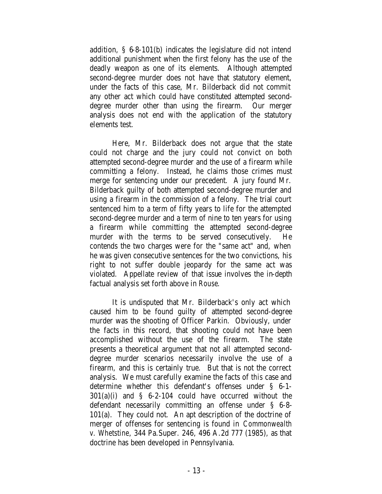addition, § 6-8-101(b) indicates the legislature did not intend additional punishment when the first felony has the use of the deadly weapon as one of its elements. Although attempted second-degree murder does not have that statutory element, under the facts of this case, Mr. Bilderback did not commit any other act which could have constituted attempted seconddegree murder other than using the firearm. Our merger analysis does not end with the application of the statutory elements test.

Here, Mr. Bilderback does not argue that the state could not charge and the jury could not convict on both attempted second-degree murder and the use of a firearm while committing a felony. Instead, he claims those crimes must merge for sentencing under our precedent. A jury found Mr. Bilderback guilty of both attempted second-degree murder and using a firearm in the commission of a felony. The trial court sentenced him to a term of fifty years to life for the attempted second-degree murder and a term of nine to ten years for using a firearm while committing the attempted second-degree murder with the terms to be served consecutively. He contends the two charges were for the "same act" and, when he was given consecutive sentences for the two convictions, his right to not suffer double jeopardy for the same act was violated. Appellate review of that issue involves the in-depth factual analysis set forth above in *Rouse*.

It is undisputed that Mr. Bilderback's only act which caused him to be found guilty of attempted second-degree murder was the shooting of Officer Parkin. Obviously, under the facts in this record, that shooting could not have been accomplished without the use of the firearm. The state presents a theoretical argument that not all attempted seconddegree murder scenarios necessarily involve the use of a firearm, and this is certainly true. But that is not the correct analysis. We must carefully examine the facts of *this* case and determine whether *this* defendant's offenses under § 6-1- 301(a)(i) and § 6-2-104 could have occurred without the defendant necessarily committing an offense under § 6-8- 101(a). They could not. An apt description of the doctrine of merger of offenses for sentencing is found in *Commonwealth v. Whetstine*, 344 Pa.Super. 246, 496 A.2d 777 (1985), as that doctrine has been developed in Pennsylvania.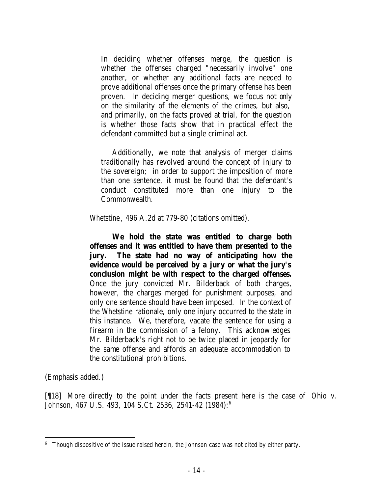In deciding whether offenses merge, the question is whether the offenses charged "necessarily involve" one another, or whether any additional facts are needed to prove additional offenses once the primary offense has been proven. In deciding merger questions, we focus not only on the similarity of the elements of the crimes, but also, and primarily, on the facts proved at trial, for the question is whether those facts show that in practical effect the defendant committed but a single criminal act.

Additionally, we note that analysis of merger claims traditionally has revolved around the concept of injury to the sovereign; in order to support the imposition of more than one sentence, it must be found that the defendant's conduct constituted more than one injury to the Commonwealth.

### *Whetstine*, 496 A.2d at 779-80 (citations omitted).

**We hold the state was entitled to charge both offenses and it was entitled to have them presented to the jury. The state had no way of anticipating how the evidence would be perceived by a jury or what the jury's conclusion might be with respect to the charged offenses.** Once the jury convicted Mr. Bilderback of both charges, however, the charges merged for punishment purposes, and only one sentence should have been imposed. In the context of the *Whetstine* rationale, only one injury occurred to the state in this instance. We, therefore, vacate the sentence for using a firearm in the commission of a felony. This acknowledges Mr. Bilderback's right not to be twice placed in jeopardy for the same offense and affords an adequate accommodation to the constitutional prohibitions.

(Emphasis added.)

[¶18] More directly to the point under the facts present here is the case of *Ohio v. Johnson*, 467 U.S. 493, 104 S.Ct. 2536, 2541-42 (1984):<sup>6</sup>

<sup>6</sup> Though dispositive of the issue raised herein, the *Johnson* case was not cited by either party.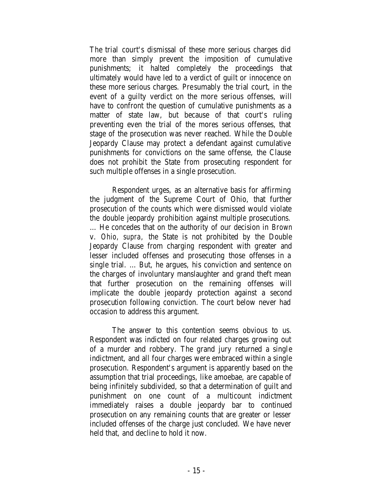The trial court's dismissal of these more serious charges did more than simply prevent the imposition of cumulative punishments; it halted completely the proceedings that ultimately would have led to a verdict of guilt or innocence on these more serious charges. Pre sumably the trial court, in the event of a guilty verdict on the more serious offenses, will have to confront the question of cumulative punishments as a matter of state law, but because of that court's ruling preventing even the trial of the mores serious offenses, that stage of the prosecution was never reached. While the Double Jeopardy Clause may protect a defendant against cumulative punishments for convictions on the same offense, the Clause does not prohibit the State from prosecuting respondent for such multiple offenses in a single prosecution.

Respondent urges, as an alternative basis for affirming the judgment of the Supreme Court of Ohio, that further prosecution of the counts which were dismissed would violate the double jeopardy prohibition against multiple prosecutions. … He concedes that on the authority of our decision in *Brown* v. *Ohio, supra,* the State is not prohibited by the Double Jeopardy Clause from charging respondent with greater and lesser included offenses and prosecuting those offenses in a single trial. … But, he argues, his conviction and sentence on the charges of involuntary manslaughter and grand theft mean that further prosecution on the remaining offenses will implicate the double jeopardy protection against a second prosecution following conviction. The court below never had occasion to address this argument.

The answer to this contention seems obvious to us. Respondent was indicted on four related charges growing out of a murder and robbery. The grand jury returned a single indictment, and all four charges were embraced within a single prosecution. Respondent's argument is apparently based on the assumption that trial proceedings, like amoebae, are capable of being infinitely subdivided, so that a determination of guilt and punishment on one count of a multicount indictment immediately raises a double jeopardy bar to continued prosecution on any remaining counts that are greater or lesser included offenses of the charge just concluded. We have never held that, and decline to hold it now.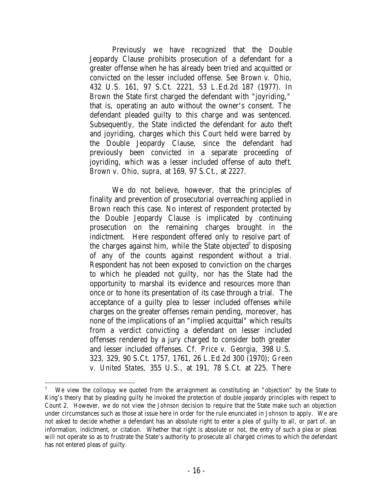Previously we have recognized that the Double Jeopardy Clause prohibits prosecution of a defendant for a greater offense when he has already been tried and acquitted or convicted on the lesser included offense. See *Brown* v. *Ohio,* 432 U.S. 161, 97 S.Ct. 2221, 53 L.Ed.2d 187 (1977). In *Brown* the State first charged the defendant with "joyriding," that is, operating an auto without the owner's consent. The defendant pleaded guilty to this charge and was sentenced. Subsequently, the State indicted the defendant for auto theft and joyriding, charges which this Court held were barred by the Double Jeopardy Clause, since the defendant had previously been convicted in a separate proceeding of joyriding, which was a lesser included offense of auto theft. *Brown* v. *Ohio, supra,* at 169, 97 S.Ct., at 2227.

We do not believe, however, that the principles of finality and prevention of prosecutorial overreaching applied in *Brown* reach this case. No interest of respondent protected by the Double Jeopardy Clause is implicated by continuing prosecution on the remaining charges brought in the indictment. Here respondent offered only to resolve part of the charges against him, while the State objected<sup>7</sup> to disposing of any of the counts against respondent without a trial. Respondent has not been exposed to conviction on the charges to which he pleaded not guilty, nor has the State had the opportunity to marshal its evidence and resources more than once or to hone its presentation of its case through a trial. The acceptance of a guilty plea to lesser included offenses while charges on the greater offenses remain pending, moreover, has none of the implications of an "implied acquittal" which results from a verdict convicting a defendant on lesser included offenses rendered by a jury charged to consider both greater and lesser included offenses. Cf. *Price* v. *Georgia,* 398 U.S. 323, 329, 90 S.Ct. 1757, 1761, 26 L.Ed.2d 300 (1970); *Green* v. *United States,* 355 U.S., at 191, 78 S.Ct. at 225. There

<sup>7</sup> We view the colloquy we quoted from the arraignment as constituting an "objection" by the State to King's theory that by pleading guilty he invoked the protection of double jeopardy principles with respect to Count 2. However, we do not view the *Johnson* decision to require that the State make such an objection under circumstances such as those at issue here in order for the rule enunciated in *Johnson* to apply. We are not asked to decide whether a defendant has an absolute right to enter a plea of guilty to all, or part of, an information, indictment, or citation. Whether that right is absolute or not, the entry of such a plea or pleas will not operate so as to frustrate the State's authority to prosecute all charged crimes to which the defendant has not entered pleas of guilty.